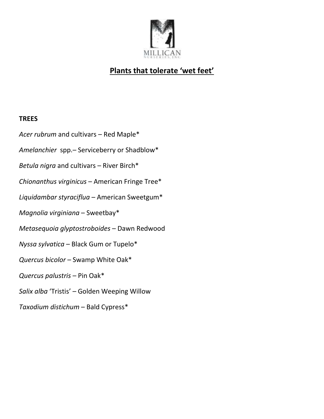

## **Plants that tolerate 'wet feet'**

## **TREES**

- *Acer rubrum* and cultivars Red Maple\*
- *Amelanchier* spp.– Serviceberry or Shadblow\*
- *Betula nigra* and cultivars River Birch\*
- *Chionanthus virginicus* American Fringe Tree\*
- *Liquidambar styraciflua* American Sweetgum\*
- *Magnolia virginiana* Sweetbay\*
- *Metasequoia glyptostroboides* Dawn Redwood
- *Nyssa sylvatica* Black Gum or Tupelo\*
- *Quercus bicolor* Swamp White Oak\*
- *Quercus palustris* Pin Oak\*
- *Salix alba* 'Tristis' Golden Weeping Willow
- *Taxodium distichum* Bald Cypress\*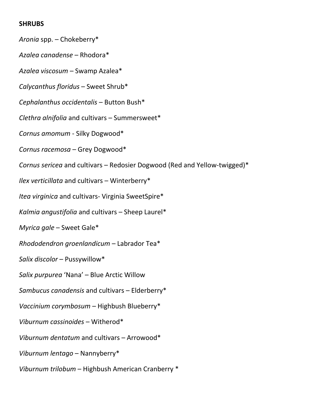## **SHRUBS**

*Aronia* spp. – Chokeberry\* *Azalea canadense* – Rhodora\* *Azalea viscosum* – Swamp Azalea\* *Calycanthus floridus* – Sweet Shrub\* *Cephalanthus occidentalis* – Button Bush\* *Clethra alnifolia* and cultivars – Summersweet\* *Cornus amomum* - Silky Dogwood\* *Cornus racemosa* – Grey Dogwood\* *Cornus sericea* and cultivars – Redosier Dogwood (Red and Yellow-twigged)\* *Ilex verticillata* and cultivars – Winterberry\* *Itea virginica* and cultivars- Virginia SweetSpire\* *Kalmia angustifolia* and cultivars – Sheep Laurel\* *Myrica gale* – Sweet Gale\* *Rhododendron groenlandicum* – Labrador Tea\* *Salix discolor* – Pussywillow\* *Salix purpurea* 'Nana' – Blue Arctic Willow *Sambucus canadensis* and cultivars – Elderberry\* *Vaccinium corymbosum* – Highbush Blueberry\* *Viburnum cassinoides* – Witherod\* *Viburnum dentatum* and cultivars – Arrowood\* *Viburnum lentago* – Nannyberry\* *Viburnum trilobum* – Highbush American Cranberry \*